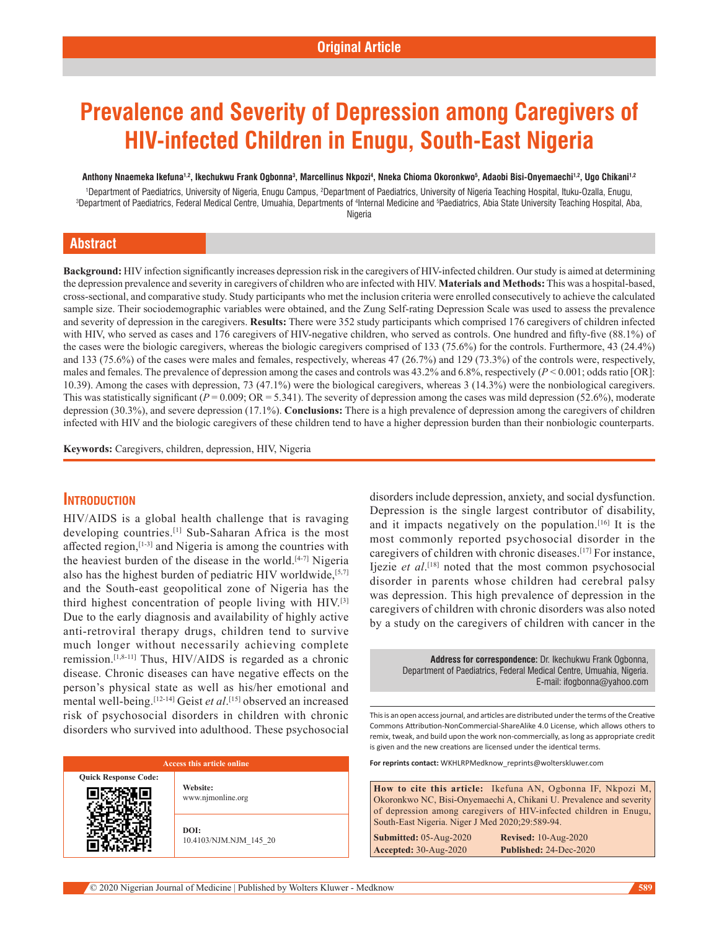# **Prevalence and Severity of Depression among Caregivers of HIV-infected Children in Enugu, South-East Nigeria**

Anthony Nnaemeka Ikefuna<sup>1,2</sup>, Ikechukwu Frank Ogbonna<sup>3</sup>, Marcellinus Nkpozi<sup>4</sup>, Nneka Chioma Okoronkwo<sup>5</sup>, Adaobi Bisi-Onyemaechi<sup>1,2</sup>, Ugo Chikani<sup>1,2</sup>

<sup>1</sup> Department of Paediatrics, University of Nigeria, Enugu Campus, <sup>2</sup>Department of Paediatrics, University of Nigeria Teaching Hospital, Ituku-Ozalla, Enugu,<br>3 Department of Paediatrics, Federal Medical Centre, Umuabia, Department of Paediatrics, Federal Medical Centre, Umuahia, Departments of <sup>4</sup>Internal Medicine and <sup>s</sup>Paediatrics, Abia State University Teaching Hospital, Aba, Nigeria

## **Abstract**

Background: HIV infection significantly increases depression risk in the caregivers of HIV-infected children. Our study is aimed at determining the depression prevalence and severity in caregivers of children who are infected with HIV. **Materials and Methods:** This was a hospital‑based, cross‑sectional, and comparative study. Study participants who met the inclusion criteria were enrolled consecutively to achieve the calculated sample size. Their sociodemographic variables were obtained, and the Zung Self-rating Depression Scale was used to assess the prevalence and severity of depression in the caregivers. **Results:** There were 352 study participants which comprised 176 caregivers of children infected with HIV, who served as cases and 176 caregivers of HIV-negative children, who served as controls. One hundred and fifty-five (88.1%) of the cases were the biologic caregivers, whereas the biologic caregivers comprised of 133 (75.6%) for the controls. Furthermore, 43 (24.4%) and 133 (75.6%) of the cases were males and females, respectively, whereas 47 (26.7%) and 129 (73.3%) of the controls were, respectively, males and females. The prevalence of depression among the cases and controls was 43.2% and 6.8%, respectively ( $P < 0.001$ ; odds ratio [OR]: 10.39). Among the cases with depression, 73 (47.1%) were the biological caregivers, whereas 3 (14.3%) were the nonbiological caregivers. This was statistically significant ( $P = 0.009$ ; OR = 5.341). The severity of depression among the cases was mild depression (52.6%), moderate depression (30.3%), and severe depression (17.1%). **Conclusions:** There is a high prevalence of depression among the caregivers of children infected with HIV and the biologic caregivers of these children tend to have a higher depression burden than their nonbiologic counterparts.

**Keywords:** Caregivers, children, depression, HIV, Nigeria

## **Introduction**

HIV/AIDS is a global health challenge that is ravaging developing countries.[1] Sub-Saharan Africa is the most affected region, [1-3] and Nigeria is among the countries with the heaviest burden of the disease in the world.<sup>[4-7]</sup> Nigeria also has the highest burden of pediatric HIV worldwide, [5,7] and the South-east geopolitical zone of Nigeria has the third highest concentration of people living with  $HIV<sup>[3]</sup>$ Due to the early diagnosis and availability of highly active anti-retroviral therapy drugs, children tend to survive much longer without necessarily achieving complete remission.[1,8-11] Thus, HIV/AIDS is regarded as a chronic disease. Chronic diseases can have negative effects on the person's physical state as well as his/her emotional and mental well‑being.[12-14] Geist *et al*. [15] observed an increased risk of psychosocial disorders in children with chronic disorders who survived into adulthood. These psychosocial

#### **Access this article online**

**Quick Response Code:**

**Website:** www.njmonline.org

**DOI:** 10.4103/NJM.NJM\_145\_20 disorders include depression, anxiety, and social dysfunction. Depression is the single largest contributor of disability, and it impacts negatively on the population.[16] It is the most commonly reported psychosocial disorder in the caregivers of children with chronic diseases.[17] For instance, Ijezie *et al*. [18] noted that the most common psychosocial disorder in parents whose children had cerebral palsy was depression. This high prevalence of depression in the caregivers of children with chronic disorders was also noted by a study on the caregivers of children with cancer in the

> **Address for correspondence:** Dr. Ikechukwu Frank Ogbonna, Department of Paediatrics, Federal Medical Centre, Umuahia, Nigeria. E-mail: ifogbonna@yahoo.com

This is an open access journal, and articles are distributed under the terms of the Creative Commons Attribution‑NonCommercial‑ShareAlike 4.0 License, which allows others to remix, tweak, and build upon the work non‑commercially, as long as appropriate credit is given and the new creations are licensed under the identical terms.

**For reprints contact:** WKHLRPMedknow\_reprints@wolterskluwer.com

**How to cite this article:** Ikefuna AN, Ogbonna IF, Nkpozi M, Okoronkwo NC, Bisi-Onyemaechi A, Chikani U. Prevalence and severity of depression among caregivers of HIV-infected children in Enugu, South-East Nigeria. Niger J Med 2020;29:589-94.

**Submitted:** 05-Aug-2020 **Revised:** 10-Aug-2020 **Accepted:** 30-Aug-2020 **Published:** 24-Dec-2020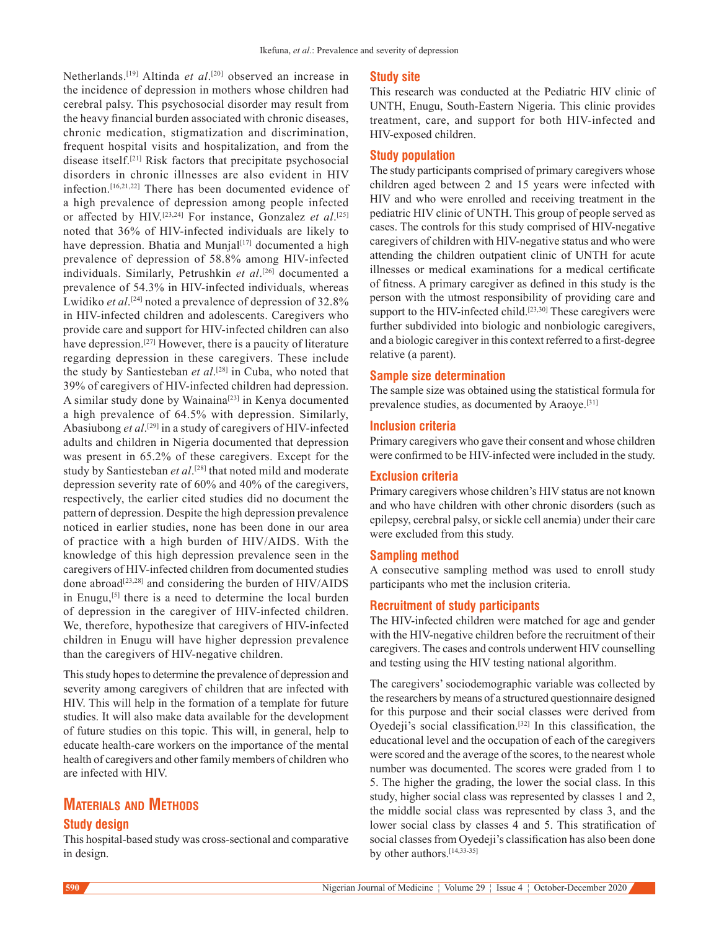Netherlands.[19] Altinda *et al*. [20] observed an increase in the incidence of depression in mothers whose children had cerebral palsy. This psychosocial disorder may result from the heavy financial burden associated with chronic diseases, chronic medication, stigmatization and discrimination, frequent hospital visits and hospitalization, and from the disease itself.[21] Risk factors that precipitate psychosocial disorders in chronic illnesses are also evident in HIV infection.[16,21,22] There has been documented evidence of a high prevalence of depression among people infected or affected by HIV.[23,24] For instance, Gonzalez *et al*. [25] noted that 36% of HIV‑infected individuals are likely to have depression. Bhatia and Munjal<sup>[17]</sup> documented a high prevalence of depression of 58.8% among HIV-infected individuals. Similarly, Petrushkin *et al*. [26] documented a prevalence of 54.3% in HIV-infected individuals, whereas Lwidiko *et al*. [24] noted a prevalence of depression of 32.8% in HIV‑infected children and adolescents. Caregivers who provide care and support for HIV‑infected children can also have depression.<sup>[27]</sup> However, there is a paucity of literature regarding depression in these caregivers. These include the study by Santiesteban *et al*. [28] in Cuba, who noted that 39% of caregivers of HIV‑infected children had depression. A similar study done by Wainaina<sup>[23]</sup> in Kenya documented a high prevalence of 64.5% with depression. Similarly, Abasiubong *et al*. [29] in a study of caregivers of HIV‑infected adults and children in Nigeria documented that depression was present in 65.2% of these caregivers. Except for the study by Santiesteban *et al*. [28] that noted mild and moderate depression severity rate of 60% and 40% of the caregivers, respectively, the earlier cited studies did no document the pattern of depression. Despite the high depression prevalence noticed in earlier studies, none has been done in our area of practice with a high burden of HIV/AIDS. With the knowledge of this high depression prevalence seen in the caregivers of HIV-infected children from documented studies done abroad<sup>[23,28]</sup> and considering the burden of HIV/AIDS in Enugu,<sup>[5]</sup> there is a need to determine the local burden of depression in the caregiver of HIV‑infected children. We, therefore, hypothesize that caregivers of HIV-infected children in Enugu will have higher depression prevalence than the caregivers of HIV‑negative children.

This study hopes to determine the prevalence of depression and severity among caregivers of children that are infected with HIV. This will help in the formation of a template for future studies. It will also make data available for the development of future studies on this topic. This will, in general, help to educate health-care workers on the importance of the mental health of caregivers and other family members of children who are infected with HIV.

# **Materials and Methods**

## **Study design**

This hospital-based study was cross-sectional and comparative in design.

#### **Study site**

This research was conducted at the Pediatric HIV clinic of UNTH, Enugu, South‑Eastern Nigeria. This clinic provides treatment, care, and support for both HIV‑infected and HIV‑exposed children.

## **Study population**

The study participants comprised of primary caregivers whose children aged between 2 and 15 years were infected with HIV and who were enrolled and receiving treatment in the pediatric HIV clinic of UNTH. This group of people served as cases. The controls for this study comprised of HIV‑negative caregivers of children with HIV-negative status and who were attending the children outpatient clinic of UNTH for acute illnesses or medical examinations for a medical certificate of fitness. A primary caregiver as defined in this study is the person with the utmost responsibility of providing care and support to the HIV-infected child.<sup>[23,30]</sup> These caregivers were further subdivided into biologic and nonbiologic caregivers, and a biologic caregiver in this context referred to a first-degree relative (a parent).

#### **Sample size determination**

The sample size was obtained using the statistical formula for prevalence studies, as documented by Araoye.[31]

#### **Inclusion criteria**

Primary caregivers who gave their consent and whose children were confirmed to be HIV‑infected were included in the study.

## **Exclusion criteria**

Primary caregivers whose children's HIV status are not known and who have children with other chronic disorders (such as epilepsy, cerebral palsy, or sickle cell anemia) under their care were excluded from this study.

## **Sampling method**

A consecutive sampling method was used to enroll study participants who met the inclusion criteria.

#### **Recruitment of study participants**

The HIV-infected children were matched for age and gender with the HIV-negative children before the recruitment of their caregivers. The cases and controls underwent HIV counselling and testing using the HIV testing national algorithm.

The caregivers' sociodemographic variable was collected by the researchers by means of a structured questionnaire designed for this purpose and their social classes were derived from Oyedeji's social classification.<sup>[32]</sup> In this classification, the educational level and the occupation of each of the caregivers were scored and the average of the scores, to the nearest whole number was documented. The scores were graded from 1 to 5. The higher the grading, the lower the social class. In this study, higher social class was represented by classes 1 and 2, the middle social class was represented by class 3, and the lower social class by classes 4 and 5. This stratification of social classes from Oyedeji's classification has also been done by other authors.[14,33-35]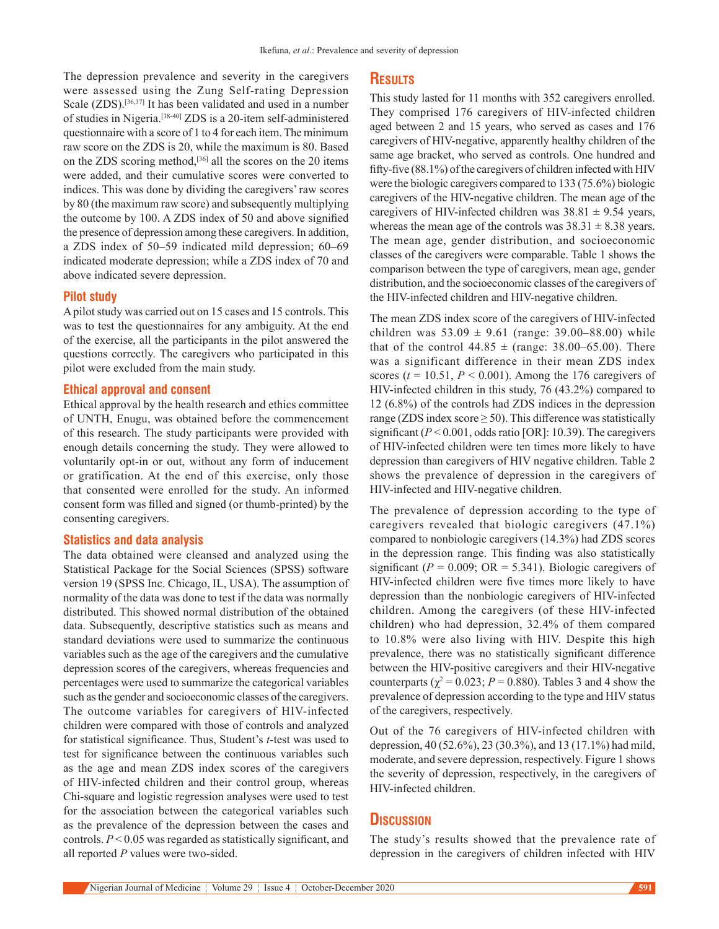The depression prevalence and severity in the caregivers were assessed using the Zung Self-rating Depression Scale (ZDS).<sup>[36,37]</sup> It has been validated and used in a number of studies in Nigeria.[38-40] ZDS is a 20‑item self‑administered questionnaire with a score of 1 to 4 for each item. The minimum raw score on the ZDS is 20, while the maximum is 80. Based on the ZDS scoring method,[36] all the scores on the 20 items were added, and their cumulative scores were converted to indices. This was done by dividing the caregivers' raw scores by 80 (the maximum raw score) and subsequently multiplying the outcome by 100. A ZDS index of 50 and above signified the presence of depression among these caregivers. In addition, a ZDS index of 50–59 indicated mild depression; 60–69 indicated moderate depression; while a ZDS index of 70 and above indicated severe depression.

#### **Pilot study**

A pilot study was carried out on 15 cases and 15 controls. This was to test the questionnaires for any ambiguity. At the end of the exercise, all the participants in the pilot answered the questions correctly. The caregivers who participated in this pilot were excluded from the main study.

#### **Ethical approval and consent**

Ethical approval by the health research and ethics committee of UNTH, Enugu, was obtained before the commencement of this research. The study participants were provided with enough details concerning the study. They were allowed to voluntarily opt‑in or out, without any form of inducement or gratification. At the end of this exercise, only those that consented were enrolled for the study. An informed consent form was filled and signed (or thumb‑printed) by the consenting caregivers.

## **Statistics and data analysis**

The data obtained were cleansed and analyzed using the Statistical Package for the Social Sciences (SPSS) software version 19 (SPSS Inc. Chicago, IL, USA). The assumption of normality of the data was done to test if the data was normally distributed. This showed normal distribution of the obtained data. Subsequently, descriptive statistics such as means and standard deviations were used to summarize the continuous variables such as the age of the caregivers and the cumulative depression scores of the caregivers, whereas frequencies and percentages were used to summarize the categorical variables such as the gender and socioeconomic classes of the caregivers. The outcome variables for caregivers of HIV-infected children were compared with those of controls and analyzed for statistical significance. Thus, Student's *t*-test was used to test for significance between the continuous variables such as the age and mean ZDS index scores of the caregivers of HIV‑infected children and their control group, whereas Chi‑square and logistic regression analyses were used to test for the association between the categorical variables such as the prevalence of the depression between the cases and controls. *P* < 0.05 was regarded as statistically significant, and all reported *P* values were two-sided.

## **Results**

This study lasted for 11 months with 352 caregivers enrolled. They comprised 176 caregivers of HIV-infected children aged between 2 and 15 years, who served as cases and 176 caregivers of HIV-negative, apparently healthy children of the same age bracket, who served as controls. One hundred and fifty-five (88.1%) of the caregivers of children infected with HIV were the biologic caregivers compared to 133 (75.6%) biologic caregivers of the HIV‑negative children. The mean age of the caregivers of HIV-infected children was  $38.81 \pm 9.54$  years, whereas the mean age of the controls was  $38.31 \pm 8.38$  years. The mean age, gender distribution, and socioeconomic classes of the caregivers were comparable. Table 1 shows the comparison between the type of caregivers, mean age, gender distribution, and the socioeconomic classes of the caregivers of the HIV‑infected children and HIV‑negative children.

The mean ZDS index score of the caregivers of HIV-infected children was  $53.09 \pm 9.61$  (range: 39.00–88.00) while that of the control  $44.85 \pm$  (range: 38.00–65.00). There was a significant difference in their mean ZDS index scores  $(t = 10.51, P \le 0.001)$ . Among the 176 caregivers of HIV-infected children in this study, 76 (43.2%) compared to 12 (6.8%) of the controls had ZDS indices in the depression range (ZDS index score  $\geq$  50). This difference was statistically significant (*P* < 0.001, odds ratio [OR]: 10.39). The caregivers of HIV‑infected children were ten times more likely to have depression than caregivers of HIV negative children. Table 2 shows the prevalence of depression in the caregivers of HIV‑infected and HIV‑negative children.

The prevalence of depression according to the type of caregivers revealed that biologic caregivers (47.1%) compared to nonbiologic caregivers (14.3%) had ZDS scores in the depression range. This finding was also statistically significant ( $P = 0.009$ ; OR = 5.341). Biologic caregivers of HIV‑infected children were five times more likely to have depression than the nonbiologic caregivers of HIV‑infected children. Among the caregivers (of these HIV‑infected children) who had depression, 32.4% of them compared to 10.8% were also living with HIV. Despite this high prevalence, there was no statistically significant difference between the HIV‑positive caregivers and their HIV‑negative counterparts ( $\chi^2$  = 0.023; *P* = 0.880). Tables 3 and 4 show the prevalence of depression according to the type and HIV status of the caregivers, respectively.

Out of the 76 caregivers of HIV-infected children with depression, 40 (52.6%), 23 (30.3%), and 13 (17.1%) had mild, moderate, and severe depression, respectively. Figure 1 shows the severity of depression, respectively, in the caregivers of HIV‑infected children.

# **Discussion**

The study's results showed that the prevalence rate of depression in the caregivers of children infected with HIV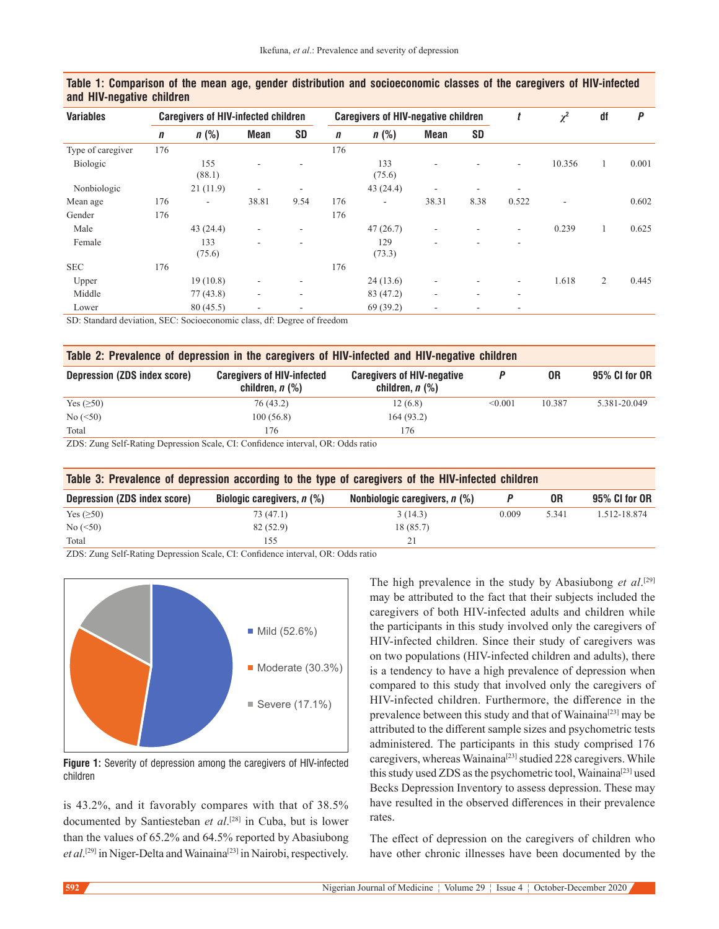| <b>Variables</b>  | <b>Caregivers of HIV-infected children</b> |                          |                          |           | <b>Caregivers of HIV-negative children</b> |                          |             | t         | $\chi^2$ | df     | P            |       |
|-------------------|--------------------------------------------|--------------------------|--------------------------|-----------|--------------------------------------------|--------------------------|-------------|-----------|----------|--------|--------------|-------|
|                   | n                                          | $n$ (%)                  | <b>Mean</b>              | <b>SD</b> | $\boldsymbol{n}$                           | $n$ (%)                  | <b>Mean</b> | <b>SD</b> |          |        |              |       |
| Type of caregiver | 176                                        |                          |                          |           | 176                                        |                          |             |           |          |        |              |       |
| Biologic          |                                            | 155<br>(88.1)            | $\sim$                   |           |                                            | 133<br>(75.6)            |             |           | ٠        | 10.356 | 1            | 0.001 |
| Nonbiologic       |                                            | 21(11.9)                 | $\overline{\phantom{a}}$ | ۰         |                                            | 43(24.4)                 | ۰           | ٠         | ٠        |        |              |       |
| Mean age          | 176                                        | $\overline{\phantom{a}}$ | 38.81                    | 9.54      | 176                                        | $\overline{\phantom{a}}$ | 38.31       | 8.38      | 0.522    | ۰      |              | 0.602 |
| Gender            | 176                                        |                          |                          |           | 176                                        |                          |             |           |          |        |              |       |
| Male              |                                            | 43 (24.4)                | $\overline{\phantom{a}}$ | ۰         |                                            | 47(26.7)                 | ۰           | ٠         | ٠        | 0.239  | $\mathbf{1}$ | 0.625 |
| Female            |                                            | 133<br>(75.6)            | $\sim$                   |           |                                            | 129<br>(73.3)            |             | ۰         | ٠        |        |              |       |
| <b>SEC</b>        | 176                                        |                          |                          |           | 176                                        |                          |             |           |          |        |              |       |
| Upper             |                                            | 19(10.8)                 | $\overline{\phantom{a}}$ | ۰         |                                            | 24(13.6)                 | ۰           | ۰         | ٠        | 1.618  | 2            | 0.445 |
| Middle            |                                            | 77(43.8)                 | $\overline{\phantom{a}}$ | ٠         |                                            | 83 (47.2)                | ۰           | $\sim$    | ٠        |        |              |       |
| Lower             |                                            | 80(45.5)                 | $\sim$                   |           |                                            | 69 (39.2)                | ۰           | ۰         |          |        |              |       |

## **Table 1: Comparison of the mean age, gender distribution and socioeconomic classes of the caregivers of HIV-infected and HIV-negative children**

SD: Standard deviation, SEC: Socioeconomic class, df: Degree of freedom

| Table 2: Prevalence of depression in the caregivers of HIV-infected and HIV-negative children |                                                             |                                                           |         |        |               |  |  |
|-----------------------------------------------------------------------------------------------|-------------------------------------------------------------|-----------------------------------------------------------|---------|--------|---------------|--|--|
| Depression (ZDS index score)                                                                  | <b>Caregivers of HIV-infected</b><br>children, <i>n</i> (%) | <b>Caregivers of HIV-negative</b><br>children, $n$ $(\%)$ |         | 0R     | 95% CI for OR |  |  |
| Yes $(\geq 50)$                                                                               | 76(43.2)                                                    | 12(6.8)                                                   | < 0.001 | 10.387 | 5.381-20.049  |  |  |
| No (< 50)                                                                                     | 100(56.8)                                                   | 164(93.2)                                                 |         |        |               |  |  |
| Total                                                                                         | 176                                                         | 176                                                       |         |        |               |  |  |
| ZDS, Zung Salf Dating Depression Scale CL: Confidence interval OD: Odds ratio                 |                                                             |                                                           |         |        |               |  |  |

S: Zung Self-Rating Depression Scale, CI: Confidence interval, OR:

| Table 3: Prevalence of depression according to the type of caregivers of the HIV-infected children |                              |                                   |       |       |               |  |
|----------------------------------------------------------------------------------------------------|------------------------------|-----------------------------------|-------|-------|---------------|--|
| Depression (ZDS index score)                                                                       | Biologic caregivers, $n$ (%) | Nonbiologic caregivers, $n$ $%$ ) |       | 0R    | 95% CI for OR |  |
| Yes $(\geq 50)$                                                                                    | 73 (47.1)                    | 3(14.3)                           | 0.009 | 5.341 | 1.512-18.874  |  |
| No (< 50)                                                                                          | 82(52.9)                     | 18 (85.7)                         |       |       |               |  |
| Total                                                                                              | 155                          | 21                                |       |       |               |  |

ZDS: Zung Self-Rating Depression Scale, CI: Confidence interval, OR: Odds ratio



**Figure 1:** Severity of depression among the caregivers of HIV-infected children

is 43.2%, and it favorably compares with that of 38.5% documented by Santiesteban *et al*. [28] in Cuba, but is lower than the values of 65.2% and 64.5% reported by Abasiubong et al.<sup>[29]</sup> in Niger-Delta and Wainaina<sup>[23]</sup> in Nairobi, respectively.

The high prevalence in the study by Abasiubong *et al*. [29] may be attributed to the fact that their subjects included the caregivers of both HIV-infected adults and children while the participants in this study involved only the caregivers of HIV-infected children. Since their study of caregivers was on two populations (HIV‑infected children and adults), there is a tendency to have a high prevalence of depression when compared to this study that involved only the caregivers of HIV‑infected children. Furthermore, the difference in the prevalence between this study and that of Wainaina<sup>[23]</sup> may be attributed to the different sample sizes and psychometric tests administered. The participants in this study comprised 176 caregivers, whereas Wainaina<sup>[23]</sup> studied 228 caregivers. While this study used ZDS as the psychometric tool, Wainaina<sup>[23]</sup> used Becks Depression Inventory to assess depression. These may have resulted in the observed differences in their prevalence rates.

The effect of depression on the caregivers of children who have other chronic illnesses have been documented by the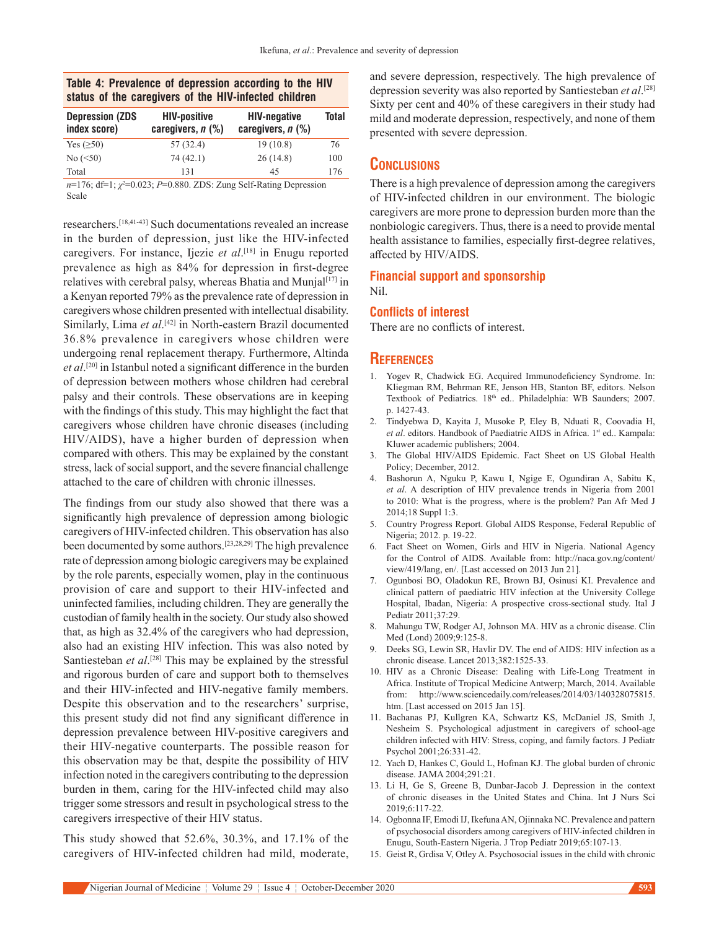## **Table 4: Prevalence of depression according to the HIV status of the caregivers of the HIV-infected children**

| <b>Depression (ZDS)</b><br>index score) | <b>HIV-positive</b><br>caregivers, n (%) | <b>HIV-negative</b><br>caregivers, $n$ $(\%)$ | Total |
|-----------------------------------------|------------------------------------------|-----------------------------------------------|-------|
| Yes $(\geq 50)$                         | 57 (32.4)                                | 19(10.8)                                      | 76    |
| No (< 50)                               | 74 (42.1)                                | 26(14.8)                                      | 100   |
| Total                                   | 131                                      | 45                                            | 176   |

*n*=176; df=1;  $\chi^2$ =0.023; *P*=0.880. ZDS: Zung Self-Rating Depression Scale

researchers.[18,41-43] Such documentations revealed an increase in the burden of depression, just like the HIV-infected caregivers. For instance, Ijezie *et al*. [18] in Enugu reported prevalence as high as 84% for depression in first-degree relatives with cerebral palsy, whereas Bhatia and Munja $l^{[17]}$  in a Kenyan reported 79% as the prevalence rate of depression in caregivers whose children presented with intellectual disability. Similarly, Lima et al.<sup>[42]</sup> in North-eastern Brazil documented 36.8% prevalence in caregivers whose children were undergoing renal replacement therapy. Furthermore, Altinda *et al*. [20] in Istanbul noted a significant difference in the burden of depression between mothers whose children had cerebral palsy and their controls. These observations are in keeping with the findings of this study. This may highlight the fact that caregivers whose children have chronic diseases (including HIV/AIDS), have a higher burden of depression when compared with others. This may be explained by the constant stress, lack of social support, and the severe financial challenge attached to the care of children with chronic illnesses.

The findings from our study also showed that there was a significantly high prevalence of depression among biologic caregivers of HIV‑infected children. This observation has also been documented by some authors.[23,28,29] The high prevalence rate of depression among biologic caregivers may be explained by the role parents, especially women, play in the continuous provision of care and support to their HIV‑infected and uninfected families, including children. They are generally the custodian of family health in the society. Our study also showed that, as high as 32.4% of the caregivers who had depression, also had an existing HIV infection. This was also noted by Santiesteban *et al*.<sup>[28]</sup> This may be explained by the stressful and rigorous burden of care and support both to themselves and their HIV‑infected and HIV‑negative family members. Despite this observation and to the researchers' surprise, this present study did not find any significant difference in depression prevalence between HIV‑positive caregivers and their HIV‑negative counterparts. The possible reason for this observation may be that, despite the possibility of HIV infection noted in the caregivers contributing to the depression burden in them, caring for the HIV‑infected child may also trigger some stressors and result in psychological stress to the caregivers irrespective of their HIV status.

This study showed that 52.6%, 30.3%, and 17.1% of the caregivers of HIV-infected children had mild, moderate, and severe depression, respectively. The high prevalence of depression severity was also reported by Santiesteban *et al*. [28] Sixty per cent and 40% of these caregivers in their study had mild and moderate depression, respectively, and none of them presented with severe depression.

# **Conclusions**

There is a high prevalence of depression among the caregivers of HIV‑infected children in our environment. The biologic caregivers are more prone to depression burden more than the nonbiologic caregivers. Thus, there is a need to provide mental health assistance to families, especially first-degree relatives, affected by HIV/AIDS.

#### **Financial support and sponsorship** Nil.

#### **Conflicts of interest**

There are no conflicts of interest.

# **References**

- 1. Yogev R, Chadwick EG. Acquired Immunodeficiency Syndrome. In: Kliegman RM, Behrman RE, Jenson HB, Stanton BF, editors. Nelson Textbook of Pediatrics. 18<sup>th</sup> ed.. Philadelphia: WB Saunders; 2007. p. 1427‑43.
- 2. Tindyebwa D, Kayita J, Musoke P, Eley B, Nduati R, Coovadia H, *et al.* editors. Handbook of Paediatric AIDS in Africa. 1st ed.. Kampala: Kluwer academic publishers; 2004.
- 3. The Global HIV/AIDS Epidemic. Fact Sheet on US Global Health Policy; December, 2012.
- 4. Bashorun A, Nguku P, Kawu I, Ngige E, Ogundiran A, Sabitu K, *et al*. A description of HIV prevalence trends in Nigeria from 2001 to 2010: What is the progress, where is the problem? Pan Afr Med J 2014;18 Suppl 1:3.
- 5. Country Progress Report. Global AIDS Response, Federal Republic of Nigeria; 2012. p. 19‑22.
- 6. Fact Sheet on Women, Girls and HIV in Nigeria. National Agency for the Control of AIDS. Available from: http://naca.gov.ng/content/ view/419/lang, en/. [Last accessed on 2013 Jun 21].
- 7. Ogunbosi BO, Oladokun RE, Brown BJ, Osinusi KI. Prevalence and clinical pattern of paediatric HIV infection at the University College Hospital, Ibadan, Nigeria: A prospective cross‑sectional study. Ital J Pediatr 2011;37:29.
- 8. Mahungu TW, Rodger AJ, Johnson MA. HIV as a chronic disease. Clin Med (Lond) 2009;9:125-8.
- 9. Deeks SG, Lewin SR, Havlir DV. The end of AIDS: HIV infection as a chronic disease. Lancet 2013;382:1525‑33.
- 10. HIV as a Chronic Disease: Dealing with Life-Long Treatment in Africa. Institute of Tropical Medicine Antwerp; March, 2014. Available from: http://www.sciencedaily.com/releases/2014/03/140328075815. htm. [Last accessed on 2015 Jan 15].
- 11. Bachanas PJ, Kullgren KA, Schwartz KS, McDaniel JS, Smith J, Nesheim S. Psychological adjustment in caregivers of school-age children infected with HIV: Stress, coping, and family factors. J Pediatr Psychol 2001;26:331‑42.
- 12. Yach D, Hankes C, Gould L, Hofman KJ. The global burden of chronic disease. JAMA 2004;291:21.
- 13. Li H, Ge S, Greene B, Dunbar‑Jacob J. Depression in the context of chronic diseases in the United States and China. Int J Nurs Sci 2019;6:117‑22.
- 14. Ogbonna IF, Emodi IJ, Ikefuna AN, Ojinnaka NC. Prevalence and pattern of psychosocial disorders among caregivers of HIV‑infected children in Enugu, South‑Eastern Nigeria. J Trop Pediatr 2019;65:107‑13.
- 15. Geist R, Grdisa V, Otley A. Psychosocial issues in the child with chronic